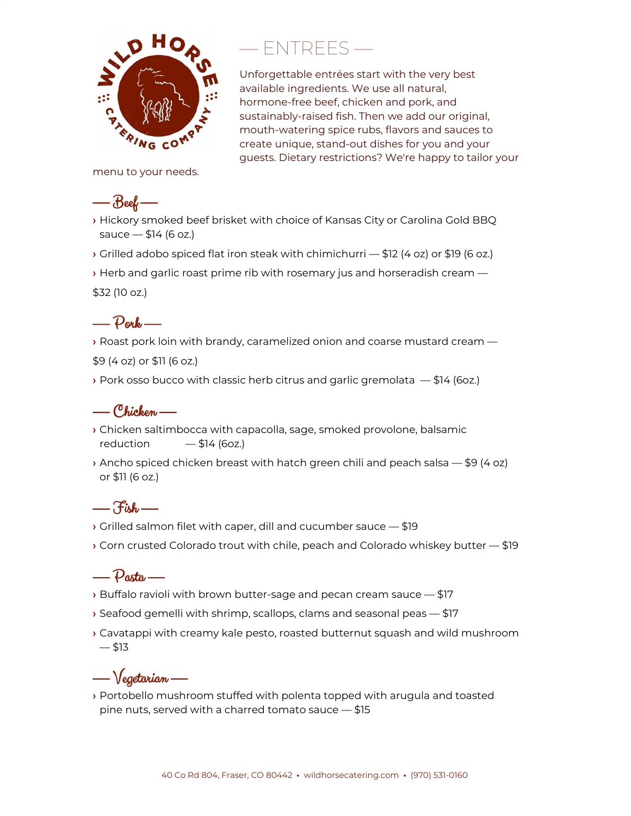

# — ENTREES —

Unforgettable entrées start with the very best available ingredients. We use all natural, hormone-free beef, chicken and pork, and sustainably-raised fish. Then we add our original, mouth-watering spice rubs, flavors and sauces to create unique, stand-out dishes for you and your guests. Dietary restrictions? We're happy to tailor your

menu to your needs.

## — Beef —

- **›** Hickory smoked beef brisket with choice of Kansas City or Carolina Gold BBQ sauce  $-$  \$14 (6 oz.)
- **›** Grilled adobo spiced flat iron steak with chimichurri \$12 (4 oz) or \$19 (6 oz.)
- **›** Herb and garlic roast prime rib with rosemary jus and horseradish cream —

\$32 (10 oz.)

#### — Pork —

- **›** Roast pork loin with brandy, caramelized onion and coarse mustard cream —
- \$9 (4 oz) or \$11 (6 oz.)
- **›** Pork osso bucco with classic herb citrus and garlic gremolata \$14 (6oz.)

#### — Chicken —

- **›** Chicken saltimbocca with capacolla, sage, smoked provolone, balsamic reduction  $- $14 (6oz.)$
- **›** Ancho spiced chicken breast with hatch green chili and peach salsa \$9 (4 oz) or \$11 (6 oz.)

### $-\mathcal{F}_{ihh}$

- **›** Grilled salmon filet with caper, dill and cucumber sauce \$19
- **›** Corn crusted Colorado trout with chile, peach and Colorado whiskey butter \$19

#### $\rho_{\text{a}xt\alpha}$  —

- **›** Buffalo ravioli with brown butter-sage and pecan cream sauce \$17
- **›** Seafood gemelli with shrimp, scallops, clams and seasonal peas \$17
- **›** Cavatappi with creamy kale pesto, roasted butternut squash and wild mushroom  $- $13$

# — Vegetarian —

**›** Portobello mushroom stuffed with polenta topped with arugula and toasted pine nuts, served with a charred tomato sauce — \$15